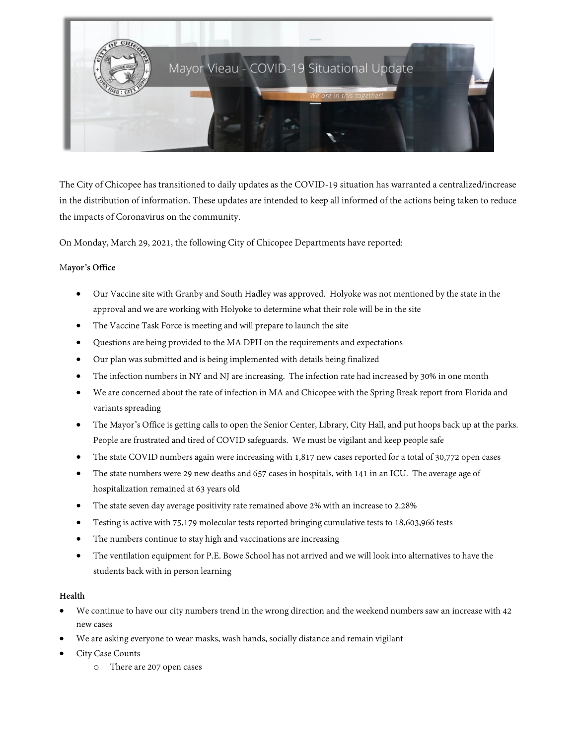

The City of Chicopee has transitioned to daily updates as the COVID-19 situation has warranted a centralized/increase in the distribution of information. These updates are intended to keep all informed of the actions being taken to reduce the impacts of Coronavirus on the community.

On Monday, March 29, 2021, the following City of Chicopee Departments have reported:

## M**ayor's Office**

- Our Vaccine site with Granby and South Hadley was approved. Holyoke was not mentioned by the state in the approval and we are working with Holyoke to determine what their role will be in the site
- The Vaccine Task Force is meeting and will prepare to launch the site
- Questions are being provided to the MA DPH on the requirements and expectations
- Our plan was submitted and is being implemented with details being finalized
- The infection numbers in NY and NJ are increasing. The infection rate had increased by 30% in one month
- We are concerned about the rate of infection in MA and Chicopee with the Spring Break report from Florida and variants spreading
- The Mayor's Office is getting calls to open the Senior Center, Library, City Hall, and put hoops back up at the parks. People are frustrated and tired of COVID safeguards. We must be vigilant and keep people safe
- The state COVID numbers again were increasing with 1,817 new cases reported for a total of 30,772 open cases
- The state numbers were 29 new deaths and 657 cases in hospitals, with 141 in an ICU. The average age of hospitalization remained at 63 years old
- The state seven day average positivity rate remained above 2% with an increase to 2.28%
- Testing is active with 75,179 molecular tests reported bringing cumulative tests to 18,603,966 tests
- The numbers continue to stay high and vaccinations are increasing
- The ventilation equipment for P.E. Bowe School has not arrived and we will look into alternatives to have the students back with in person learning

## **Health**

- We continue to have our city numbers trend in the wrong direction and the weekend numbers saw an increase with 42 new cases
- We are asking everyone to wear masks, wash hands, socially distance and remain vigilant
- City Case Counts
	- o There are 207 open cases